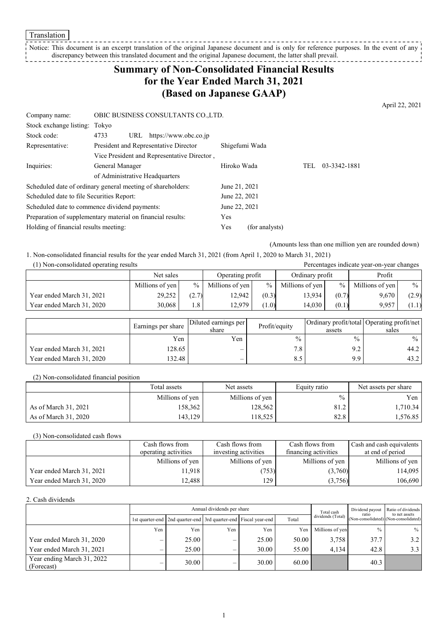**Translation** 

Notice: This document is an excerpt translation of the original Japanese document and is only for reference purposes. In the event of any discrepancy between this translated document and the original Japanese document, the latter shall prevail. 

## **Summary of Non-Consolidated Financial Results for the Year Ended March 31, 2021 (Based on Japanese GAAP)**

April 22, 2021

| Company name:                                 | OBIC BUSINESS CONSULTANTS CO., LTD.                         |               |                |            |              |
|-----------------------------------------------|-------------------------------------------------------------|---------------|----------------|------------|--------------|
| Stock exchange listing: Tokyo                 |                                                             |               |                |            |              |
| Stock code:                                   | 4733<br>https://www.obc.co.jp<br>URL                        |               |                |            |              |
| Representative:                               | President and Representative Director                       |               | Shigefumi Wada |            |              |
|                                               | Vice President and Representative Director,                 |               |                |            |              |
| Inquiries:                                    | General Manager                                             | Hiroko Wada   |                | <b>TEL</b> | 03-3342-1881 |
|                                               | of Administrative Headquarters                              |               |                |            |              |
|                                               | Scheduled date of ordinary general meeting of shareholders: | June 21, 2021 |                |            |              |
| Scheduled date to file Securities Report:     |                                                             | June 22, 2021 |                |            |              |
| Scheduled date to commence dividend payments: |                                                             | June 22, 2021 |                |            |              |
|                                               | Preparation of supplementary material on financial results: | Yes           |                |            |              |
| Holding of financial results meeting:         |                                                             | Yes           | (for analysts) |            |              |

(Amounts less than one million yen are rounded down)

1. Non-consolidated financial results for the year ended March 31, 2021 (from April 1, 2020 to March 31, 2021)

| (1) Non-consolidated operating results |                 |               | Percentages indicate year-on-year changes |       |                 |       |                 |               |
|----------------------------------------|-----------------|---------------|-------------------------------------------|-------|-----------------|-------|-----------------|---------------|
|                                        | Net sales       |               | Operating profit                          |       | Ordinary profit |       | Profit          |               |
|                                        | Millions of yen | $\%$          | Millions of yen                           | $\%$  | Millions of yen | $\%$  | Millions of yen | $\frac{0}{0}$ |
| Year ended March 31, 2021              | 29,252          | (2.7)         | 12.942                                    | (0.3) | 13,934          | (0.7) | 9,670           | (2.9)         |
| Year ended March 31, 2020              | 30.068          | $1.8^{\circ}$ | 12.979                                    | (1.0) | 14.030          | (0.1) | 9.957           | (1.1)         |

|                           | Earnings per share | Diluted earnings per<br>share | Profit/equity | assets        | Ordinary profit/total Operating profit/net<br>sales |
|---------------------------|--------------------|-------------------------------|---------------|---------------|-----------------------------------------------------|
|                           | Yen                | Yen                           | $\frac{0}{0}$ | $\frac{0}{0}$ | $\frac{0}{0}$                                       |
| Year ended March 31, 2021 | 128.65             | $\overline{\phantom{0}}$      | 7.8           | 9.2           | 44.2                                                |
| Year ended March 31, 2020 | 132.48             | $\overline{\phantom{0}}$      | 8.5           | 9.9           | 43.2                                                |

(2) Non-consolidated financial position

|                      | Total assets    | Net assets      | Equity ratio  | Net assets per share |  |
|----------------------|-----------------|-----------------|---------------|----------------------|--|
|                      | Millions of yen | Millions of yen | $\frac{0}{0}$ | Yen                  |  |
| As of March 31, 2021 | 158,362         | 128.562         | 81.2          | 1.710.34             |  |
| As of March 31, 2020 | 143.129         | 18.525          | 82.8          | 1,576.85             |  |

(3) Non-consolidated cash flows

|                           | Cash flows from      | Cash flows from      | Cash flows from      | Cash and cash equivalents |
|---------------------------|----------------------|----------------------|----------------------|---------------------------|
|                           | operating activities | investing activities | financing activities | at end of period          |
|                           | Millions of yen      | Millions of yen      | Millions of yen      | Millions of yen           |
| Year ended March 31, 2021 | 11.918               | 753)                 | (3,760)              | 114.095                   |
| Year ended March 31, 2020 | 12.488               | 129                  | (3,756)              | 106,690                   |

#### 2. Cash dividends

|                                          | Annual dividends per share |       |     |                                                                       |       | Total cash        | Dividend payout<br>ratio | Ratio of dividends<br>to net assets   |
|------------------------------------------|----------------------------|-------|-----|-----------------------------------------------------------------------|-------|-------------------|--------------------------|---------------------------------------|
|                                          |                            |       |     | 1st quarter-end   2nd quarter-end   3rd quarter-end   Fiscal year-end | Total | dividends (Total) |                          | (Non-consolidated) (Non-consolidated) |
|                                          | Yen                        | Yen   | Yen | Yen                                                                   | Yen   | Millions of yen   | $\frac{0}{0}$            | $\%$                                  |
| Year ended March 31, 2020                |                            | 25.00 | —   | 25.00                                                                 | 50.00 | 3.758             | 37.7                     | 3.2                                   |
| Year ended March 31, 2021                | –                          | 25.00 | —   | 30.00                                                                 | 55.00 | 4.134             | 42.8                     |                                       |
| Year ending March 31, 2022<br>(Forecast) |                            | 30.00 | —   | 30.00                                                                 | 60.00 |                   | 40.3                     |                                       |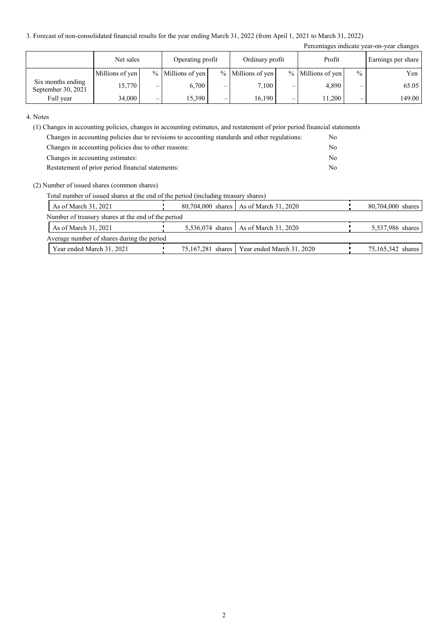3. Forecast of non-consolidated financial results for the year ending March 31, 2022 (from April 1, 2021 to March 31, 2022)

|                                         |                 |                          |                     |   |                     |   |                     |               | Percentages indicate year-on-year changes |
|-----------------------------------------|-----------------|--------------------------|---------------------|---|---------------------|---|---------------------|---------------|-------------------------------------------|
|                                         | Net sales       |                          | Operating profit    |   | Ordinary profit     |   | Profit              |               | Earnings per share                        |
|                                         | Millions of yen |                          | $%$ Millions of yen |   | $%$ Millions of yen |   | $%$ Millions of yen | $\frac{0}{0}$ | Yen                                       |
| Six months ending<br>September 30, 2021 | 15,770          | $\overline{\phantom{0}}$ | 6.700               | – | 7,100               | - | 4,890               | –             | 65.05                                     |
| Full year                               | 34,000          | –                        | 15,390              | – | 16,190              | - | 11,200              |               | 149.00                                    |

4. Notes

(1) Changes in accounting policies, changes in accounting estimates, and restatement of prior period financial statements

| Changes in accounting policies due to revisions to accounting standards and other regulations: | No. |
|------------------------------------------------------------------------------------------------|-----|
| Changes in accounting policies due to other reasons:                                           | No  |
| Changes in accounting estimates:                                                               | No  |
| Restatement of prior period financial statements:                                              | No  |

#### (2) Number of issued shares (common shares)

Total number of issued shares at the end of the period (including treasury shares)

| As of March 31, 2021                               |  | 80,704,000 shares As of March 31, 2020        | 80,704,000 shares |  |  |  |  |
|----------------------------------------------------|--|-----------------------------------------------|-------------------|--|--|--|--|
| Number of treasury shares at the end of the period |  |                                               |                   |  |  |  |  |
| As of March 31, 2021                               |  | 5,536,074 shares   As of March 31, 2020       | 5,537,986 shares  |  |  |  |  |
| Average number of shares during the period         |  |                                               |                   |  |  |  |  |
| Year ended March 31, 2021                          |  | 75,167,281 shares   Year ended March 31, 2020 | 75,165,342 shares |  |  |  |  |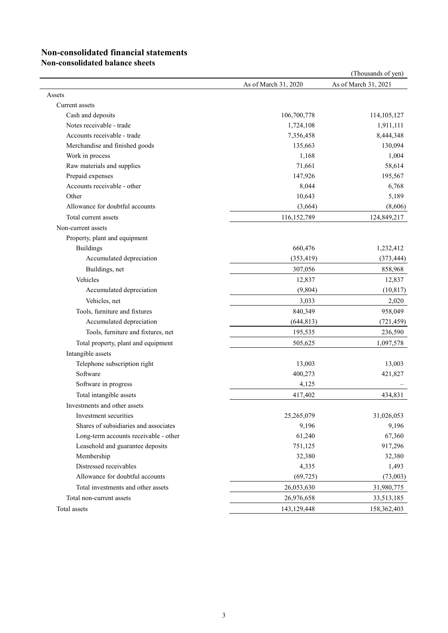# **Non-consolidated financial statements**

**Non-consolidated balance sheets**

|                                       |                      | (Thousands of yen)   |
|---------------------------------------|----------------------|----------------------|
|                                       | As of March 31, 2020 | As of March 31, 2021 |
| Assets                                |                      |                      |
| Current assets                        |                      |                      |
| Cash and deposits                     | 106,700,778          | 114, 105, 127        |
| Notes receivable - trade              | 1,724,108            | 1,911,111            |
| Accounts receivable - trade           | 7,356,458            | 8,444,348            |
| Merchandise and finished goods        | 135,663              | 130,094              |
| Work in process                       | 1,168                | 1,004                |
| Raw materials and supplies            | 71,661               | 58,614               |
| Prepaid expenses                      | 147,926              | 195,567              |
| Accounts receivable - other           | 8,044                | 6,768                |
| Other                                 | 10,643               | 5,189                |
| Allowance for doubtful accounts       | (3,664)              | (8,606)              |
| Total current assets                  | 116,152,789          | 124,849,217          |
| Non-current assets                    |                      |                      |
| Property, plant and equipment         |                      |                      |
| <b>Buildings</b>                      | 660,476              | 1,232,412            |
| Accumulated depreciation              | (353, 419)           | (373, 444)           |
| Buildings, net                        | 307,056              | 858,968              |
| Vehicles                              | 12,837               | 12,837               |
| Accumulated depreciation              | (9,804)              | (10, 817)            |
| Vehicles, net                         | 3,033                | 2,020                |
| Tools, furniture and fixtures         | 840,349              | 958,049              |
| Accumulated depreciation              | (644, 813)           | (721, 459)           |
| Tools, furniture and fixtures, net    | 195,535              | 236,590              |
| Total property, plant and equipment   | 505,625              | 1,097,578            |
| Intangible assets                     |                      |                      |
| Telephone subscription right          | 13,003               | 13,003               |
| Software                              | 400,273              | 421,827              |
| Software in progress                  | 4,125                |                      |
| Total intangible assets               | 417,402              | 434,831              |
| Investments and other assets          |                      |                      |
| Investment securities                 | 25,265,079           | 31,026,053           |
| Shares of subsidiaries and associates | 9,196                | 9,196                |
| Long-term accounts receivable - other | 61,240               | 67,360               |
| Leasehold and guarantee deposits      | 751,125              | 917,296              |
| Membership                            | 32,380               | 32,380               |
| Distressed receivables                | 4,335                | 1,493                |
| Allowance for doubtful accounts       | (69, 725)            | (73,003)             |
| Total investments and other assets    | 26,053,630           | 31,980,775           |
| Total non-current assets              | 26,976,658           | 33,513,185           |
| Total assets                          | 143, 129, 448        | 158, 362, 403        |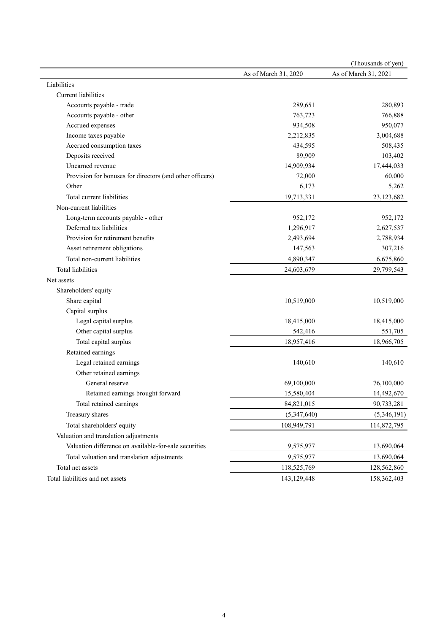|                                                          |                      | (Thousands of yen)   |
|----------------------------------------------------------|----------------------|----------------------|
|                                                          | As of March 31, 2020 | As of March 31, 2021 |
| Liabilities                                              |                      |                      |
| <b>Current</b> liabilities                               |                      |                      |
| Accounts payable - trade                                 | 289,651              | 280,893              |
| Accounts payable - other                                 | 763,723              | 766,888              |
| Accrued expenses                                         | 934,508              | 950,077              |
| Income taxes payable                                     | 2,212,835            | 3,004,688            |
| Accrued consumption taxes                                | 434,595              | 508,435              |
| Deposits received                                        | 89,909               | 103,402              |
| Unearned revenue                                         | 14,909,934           | 17,444,033           |
| Provision for bonuses for directors (and other officers) | 72,000               | 60,000               |
| Other                                                    | 6,173                | 5,262                |
| Total current liabilities                                | 19,713,331           | 23,123,682           |
| Non-current liabilities                                  |                      |                      |
| Long-term accounts payable - other                       | 952,172              | 952,172              |
| Deferred tax liabilities                                 | 1,296,917            | 2,627,537            |
| Provision for retirement benefits                        | 2,493,694            | 2,788,934            |
| Asset retirement obligations                             | 147,563              | 307,216              |
| Total non-current liabilities                            | 4,890,347            | 6,675,860            |
| Total liabilities                                        | 24,603,679           | 29,799,543           |
| Net assets                                               |                      |                      |
| Shareholders' equity                                     |                      |                      |
| Share capital                                            | 10,519,000           | 10,519,000           |
| Capital surplus                                          |                      |                      |
| Legal capital surplus                                    | 18,415,000           | 18,415,000           |
| Other capital surplus                                    | 542,416              | 551,705              |
| Total capital surplus                                    | 18,957,416           | 18,966,705           |
| Retained earnings                                        |                      |                      |
| Legal retained earnings                                  | 140,610              | 140,610              |
| Other retained earnings                                  |                      |                      |
| General reserve                                          | 69,100,000           | 76,100,000           |
| Retained earnings brought forward                        | 15,580,404           | 14,492,670           |
| Total retained earnings                                  | 84,821,015           | 90,733,281           |
| Treasury shares                                          | (5,347,640)          | (5,346,191)          |
| Total shareholders' equity                               | 108,949,791          | 114,872,795          |
| Valuation and translation adjustments                    |                      |                      |
| Valuation difference on available-for-sale securities    | 9,575,977            | 13,690,064           |
| Total valuation and translation adjustments              | 9,575,977            | 13,690,064           |
| Total net assets                                         | 118,525,769          | 128,562,860          |
| Total liabilities and net assets                         | 143,129,448          | 158,362,403          |
|                                                          |                      |                      |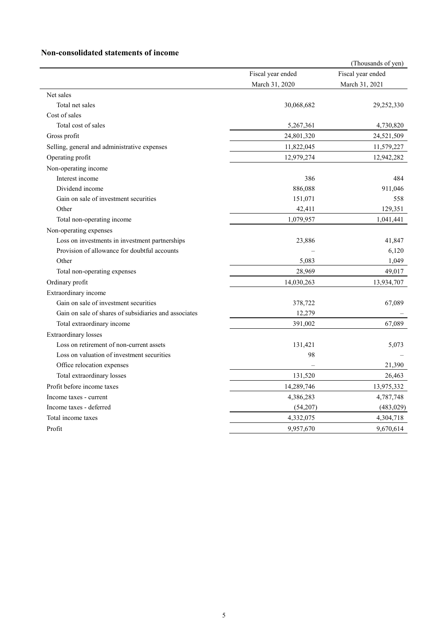### **Non-consolidated statements of income**

|                                                       |                   | (Thousands of yen) |
|-------------------------------------------------------|-------------------|--------------------|
|                                                       | Fiscal year ended | Fiscal year ended  |
|                                                       | March 31, 2020    | March 31, 2021     |
| Net sales                                             |                   |                    |
| Total net sales                                       | 30,068,682        | 29,252,330         |
| Cost of sales                                         |                   |                    |
| Total cost of sales                                   | 5,267,361         | 4,730,820          |
| Gross profit                                          | 24,801,320        | 24,521,509         |
| Selling, general and administrative expenses          | 11,822,045        | 11,579,227         |
| Operating profit                                      | 12,979,274        | 12,942,282         |
| Non-operating income                                  |                   |                    |
| Interest income                                       | 386               | 484                |
| Dividend income                                       | 886,088           | 911,046            |
| Gain on sale of investment securities                 | 151,071           | 558                |
| Other                                                 | 42,411            | 129,351            |
| Total non-operating income                            | 1,079,957         | 1,041,441          |
| Non-operating expenses                                |                   |                    |
| Loss on investments in investment partnerships        | 23,886            | 41,847             |
| Provision of allowance for doubtful accounts          |                   | 6,120              |
| Other                                                 | 5,083             | 1,049              |
| Total non-operating expenses                          | 28,969            | 49,017             |
| Ordinary profit                                       | 14,030,263        | 13,934,707         |
| Extraordinary income                                  |                   |                    |
| Gain on sale of investment securities                 | 378,722           | 67,089             |
| Gain on sale of shares of subsidiaries and associates | 12,279            |                    |
| Total extraordinary income                            | 391,002           | 67,089             |
| <b>Extraordinary losses</b>                           |                   |                    |
| Loss on retirement of non-current assets              | 131,421           | 5,073              |
| Loss on valuation of investment securities            | 98                |                    |
| Office relocation expenses                            |                   | 21,390             |
| Total extraordinary losses                            | 131,520           | 26,463             |
| Profit before income taxes                            | 14,289,746        | 13,975,332         |
| Income taxes - current                                | 4,386,283         | 4,787,748          |
| Income taxes - deferred                               | (54,207)          | (483, 029)         |
| Total income taxes                                    | 4,332,075         | 4,304,718          |
| Profit                                                | 9,957,670         | 9,670,614          |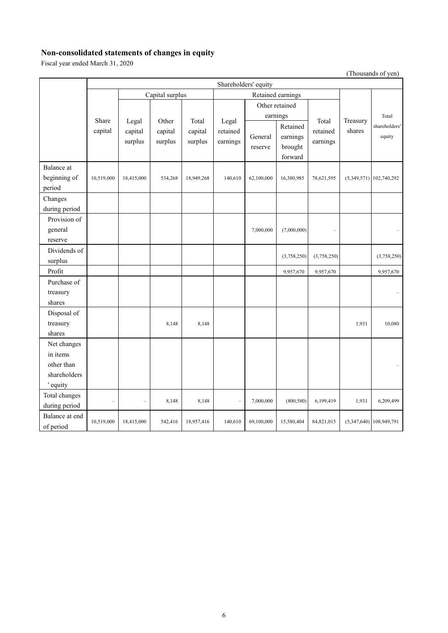### **Non-consolidated statements of changes in equity**

Fiscal year ended March 31, 2020

(Thousands of yen)

|                             | Shareholders' equity |                             |                                      |                    |                          |                    |                                            |                      |                    |                           |
|-----------------------------|----------------------|-----------------------------|--------------------------------------|--------------------|--------------------------|--------------------|--------------------------------------------|----------------------|--------------------|---------------------------|
|                             |                      |                             | Capital surplus<br>Retained earnings |                    |                          |                    |                                            |                      |                    |                           |
|                             |                      |                             |                                      |                    |                          |                    | Other retained                             |                      |                    |                           |
|                             | Share                |                             | Other                                | Total              | Legal                    |                    | earnings                                   | Total                | Treasury<br>shares | Total                     |
|                             | capital              | Legal<br>capital<br>surplus | capital<br>surplus                   | capital<br>surplus | retained<br>earnings     | General<br>reserve | Retained<br>earnings<br>brought<br>forward | retained<br>earnings |                    | shareholders'<br>equity   |
| Balance at                  |                      |                             |                                      |                    |                          |                    |                                            |                      |                    |                           |
| beginning of                | 10,519,000           | 18,415,000                  | 534,268                              | 18,949,268         | 140,610                  | 62,100,000         | 16,380,985                                 | 78,621,595           |                    | $(5,349,571)$ 102,740,292 |
| period                      |                      |                             |                                      |                    |                          |                    |                                            |                      |                    |                           |
| Changes                     |                      |                             |                                      |                    |                          |                    |                                            |                      |                    |                           |
| during period               |                      |                             |                                      |                    |                          |                    |                                            |                      |                    |                           |
| Provision of                |                      |                             |                                      |                    |                          |                    |                                            |                      |                    |                           |
| general                     |                      |                             |                                      |                    |                          | 7,000,000          | (7,000,000)                                |                      |                    |                           |
| reserve                     |                      |                             |                                      |                    |                          |                    |                                            |                      |                    |                           |
| Dividends of                |                      |                             |                                      |                    |                          |                    |                                            |                      |                    |                           |
| surplus                     |                      |                             |                                      |                    |                          |                    | (3,758,250)                                | (3,758,250)          |                    | (3,758,250)               |
| Profit                      |                      |                             |                                      |                    |                          |                    | 9,957,670                                  | 9,957,670            |                    | 9,957,670                 |
| Purchase of                 |                      |                             |                                      |                    |                          |                    |                                            |                      |                    |                           |
| treasury                    |                      |                             |                                      |                    |                          |                    |                                            |                      |                    |                           |
| shares                      |                      |                             |                                      |                    |                          |                    |                                            |                      |                    |                           |
| Disposal of                 |                      |                             |                                      |                    |                          |                    |                                            |                      |                    |                           |
| treasury                    |                      |                             | 8,148                                | 8,148              |                          |                    |                                            |                      | 1,931              | 10,080                    |
| shares                      |                      |                             |                                      |                    |                          |                    |                                            |                      |                    |                           |
| Net changes                 |                      |                             |                                      |                    |                          |                    |                                            |                      |                    |                           |
| in items                    |                      |                             |                                      |                    |                          |                    |                                            |                      |                    |                           |
| other than                  |                      |                             |                                      |                    |                          |                    |                                            |                      |                    |                           |
| shareholders                |                      |                             |                                      |                    |                          |                    |                                            |                      |                    |                           |
| ' equity                    |                      |                             |                                      |                    |                          |                    |                                            |                      |                    |                           |
| Total changes               |                      |                             | 8,148                                | 8,148              | $\overline{\phantom{0}}$ | 7,000,000          | (800, 580)                                 | 6,199,419            | 1,931              | 6,209,499                 |
| during period               |                      |                             |                                      |                    |                          |                    |                                            |                      |                    |                           |
| Balance at end<br>of period | 10,519,000           | 18,415,000                  | 542,416                              | 18,957,416         | 140,610                  | 69,100,000         | 15,580,404                                 | 84,821,015           |                    | $(5,347,640)$ 108,949,791 |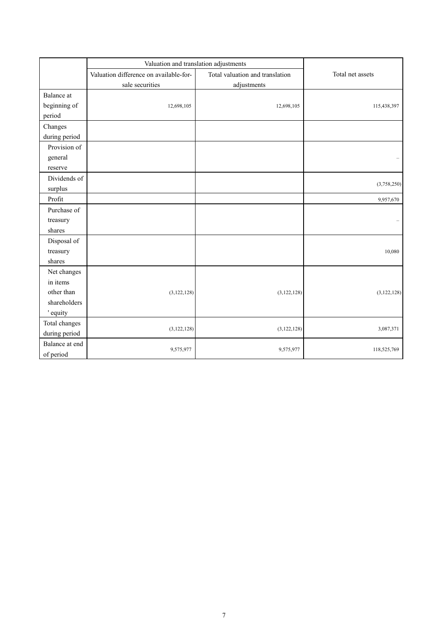|                             | Valuation and translation adjustments  |                                 |                  |  |
|-----------------------------|----------------------------------------|---------------------------------|------------------|--|
|                             | Valuation difference on available-for- | Total valuation and translation | Total net assets |  |
|                             | sale securities                        | adjustments                     |                  |  |
| Balance at                  |                                        |                                 |                  |  |
| beginning of                | 12,698,105                             | 12,698,105                      | 115,438,397      |  |
| period                      |                                        |                                 |                  |  |
| Changes                     |                                        |                                 |                  |  |
| during period               |                                        |                                 |                  |  |
| Provision of                |                                        |                                 |                  |  |
| general                     |                                        |                                 |                  |  |
| reserve                     |                                        |                                 |                  |  |
| Dividends of                |                                        |                                 |                  |  |
| surplus                     |                                        |                                 | (3,758,250)      |  |
| Profit                      |                                        |                                 | 9,957,670        |  |
| Purchase of                 |                                        |                                 |                  |  |
| treasury                    |                                        |                                 |                  |  |
| shares                      |                                        |                                 |                  |  |
| Disposal of                 |                                        |                                 |                  |  |
| treasury                    |                                        |                                 | 10,080           |  |
| shares                      |                                        |                                 |                  |  |
| Net changes                 |                                        |                                 |                  |  |
| in items                    |                                        |                                 |                  |  |
| other than                  | (3, 122, 128)                          | (3, 122, 128)                   | (3, 122, 128)    |  |
| shareholders                |                                        |                                 |                  |  |
| ' equity                    |                                        |                                 |                  |  |
| Total changes               |                                        |                                 |                  |  |
| during period               | (3, 122, 128)                          | (3,122,128)                     | 3,087,371        |  |
| Balance at end<br>of period | 9,575,977                              | 9,575,977                       | 118,525,769      |  |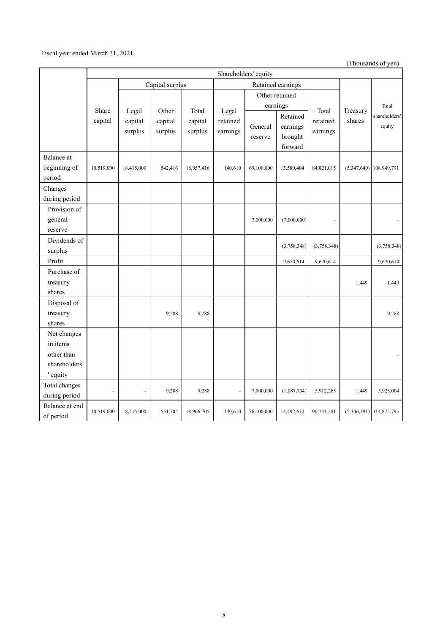#### Fiscal year ended March 31, 2021

(Thousands of yen)

|                                                                   | Shareholders' equity |                             |                    |                    |                          |                    |                                            |                               |                    |                                  |
|-------------------------------------------------------------------|----------------------|-----------------------------|--------------------|--------------------|--------------------------|--------------------|--------------------------------------------|-------------------------------|--------------------|----------------------------------|
|                                                                   | Capital surplus      |                             |                    | Retained earnings  |                          |                    |                                            |                               |                    |                                  |
|                                                                   |                      |                             |                    |                    |                          |                    | Other retained                             |                               |                    |                                  |
|                                                                   | Share                |                             | Other              | Total              | Legal                    |                    | earnings                                   | Total<br>retained<br>earnings | Treasury<br>shares | Total<br>shareholders'<br>equity |
|                                                                   | capital              | Legal<br>capital<br>surplus | capital<br>surplus | capital<br>surplus | retained<br>earnings     | General<br>reserve | Retained<br>earnings<br>brought<br>forward |                               |                    |                                  |
| Balance at<br>beginning of<br>period                              | 10,519,000           | 18,415,000                  | 542,416            | 18,957,416         | 140,610                  | 69,100,000         | 15,580,404                                 | 84,821,015                    |                    | $(5,347,640)$ 108,949,791        |
| Changes<br>during period                                          |                      |                             |                    |                    |                          |                    |                                            |                               |                    |                                  |
| Provision of<br>general<br>reserve                                |                      |                             |                    |                    |                          | 7,000,000          | (7,000,000)                                |                               |                    |                                  |
| Dividends of<br>surplus                                           |                      |                             |                    |                    |                          |                    | (3,758,348)                                | (3,758,348)                   |                    | (3,758,348)                      |
| Profit                                                            |                      |                             |                    |                    |                          |                    | 9,670,614                                  | 9,670,614                     |                    | 9,670,614                        |
| Purchase of<br>treasury<br>shares                                 |                      |                             |                    |                    |                          |                    |                                            |                               | 1,449              | 1,449                            |
| Disposal of<br>treasury<br>shares                                 |                      |                             | 9,288              | 9,288              |                          |                    |                                            |                               |                    | 9,288                            |
| Net changes<br>in items<br>other than<br>shareholders<br>' equity |                      |                             |                    |                    |                          |                    |                                            |                               |                    |                                  |
| Total changes<br>during period                                    |                      | L.                          | 9,288              | 9,288              | $\overline{\phantom{0}}$ | 7,000,000          | (1,087,734)                                | 5,912,265                     | 1,449              | 5,923,004                        |
| Balance at end<br>of period                                       | 10,519,000           | 18,415,000                  | 551,705            | 18,966,705         | 140,610                  | 76,100,000         | 14,492,670                                 | 90,733,281                    |                    | $(5,346,191)$ 114,872,795        |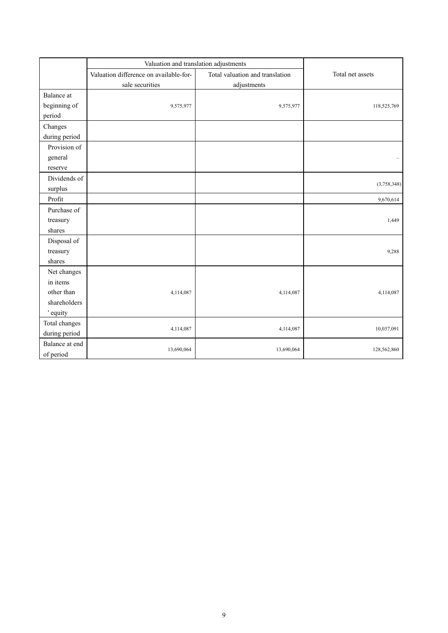|                | Valuation and translation adjustments  |                                 |                  |
|----------------|----------------------------------------|---------------------------------|------------------|
|                | Valuation difference on available-for- | Total valuation and translation | Total net assets |
|                | sale securities                        | adjustments                     |                  |
| Balance at     |                                        |                                 |                  |
| beginning of   | 9,575,977                              | 9,575,977                       | 118,525,769      |
| period         |                                        |                                 |                  |
| Changes        |                                        |                                 |                  |
| during period  |                                        |                                 |                  |
| Provision of   |                                        |                                 |                  |
| general        |                                        |                                 |                  |
| reserve        |                                        |                                 |                  |
| Dividends of   |                                        |                                 |                  |
| surplus        |                                        |                                 | (3,758,348)      |
| Profit         |                                        |                                 | 9,670,614        |
| Purchase of    |                                        |                                 |                  |
| treasury       |                                        |                                 | 1,449            |
| shares         |                                        |                                 |                  |
| Disposal of    |                                        |                                 |                  |
| treasury       |                                        |                                 | 9,288            |
| shares         |                                        |                                 |                  |
| Net changes    |                                        |                                 |                  |
| in items       |                                        |                                 |                  |
| other than     | 4,114,087                              | 4,114,087                       | 4,114,087        |
| shareholders   |                                        |                                 |                  |
| ' equity       |                                        |                                 |                  |
| Total changes  |                                        |                                 |                  |
| during period  | 4,114,087                              | 4,114,087                       | 10,037,091       |
| Balance at end |                                        |                                 |                  |
| of period      | 13,690,064                             | 13,690,064                      | 128,562,860      |